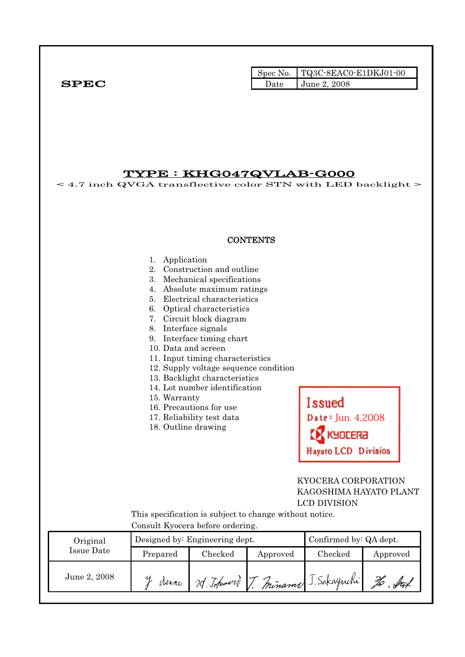|              |      | $\Box$ Spec No. $\Box$ TQ3C-8EAC0-E1DKJ01-00 |
|--------------|------|----------------------------------------------|
| ${\bf SPEC}$ | Date | <b>June 2, 2008</b>                          |

TYPE : KHG047QVLAB-G000  $<$  4.7 inch QVGA transflective color STN with LED backlight  $>$ **CONTENTS** 1. Application 2. Construction and outline 3. Mechanical specifications 4. Absolute maximum ratings 5. Electrical characteristics 6. Optical characteristics 7. Circuit block diagram 8. Interface signals 9. Interface timing chart 10. Data and screen 11. Input timing characteristics 12. Supply voltage sequence condition 13. Backlight characteristics 14. Lot number identification 15. Warranty **Issued** 16. Precautions for use 17. Reliability test data Date: Jun. 4,2008 18. Outline drawing KYDCERA **Hayato LCD Division**  KYOCERA CORPORATION KAGOSHIMA HAYATO PLANT LCD DIVISION This specification is subject to change without notice. Consult Kyocera before ordering. Original Designed by: Engineering dept. Confirmed by: QA dept. Issue Date Prepared Checked Approved Checked Approved June 2, 2008 Jerem 7 Johann J. Miname J. Sakaguchi To . Sut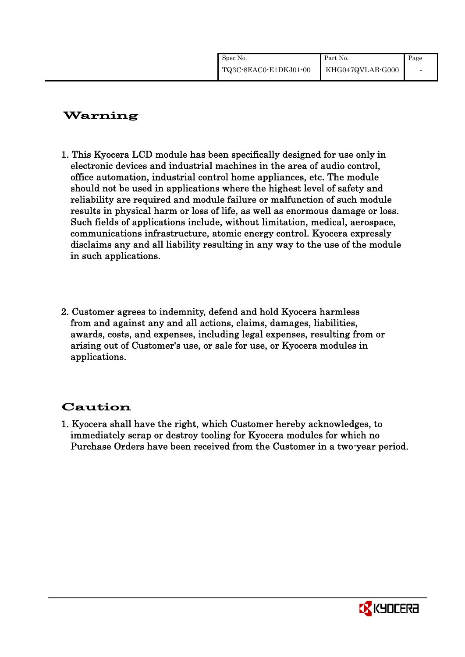| Spec No.              | Part No.         | Page |
|-----------------------|------------------|------|
| TQ3C-8EAC0-E1DKJ01-00 | KHG047QVLAB-G000 |      |

# Warning

- 1. This Kyocera LCD module has been specifically designed for use only in electronic devices and industrial machines in the area of audio control, office automation, industrial control home appliances, etc. The module should not be used in applications where the highest level of safety and reliability are required and module failure or malfunction of such module results in physical harm or loss of life, as well as enormous damage or loss. Such fields of applications include, without limitation, medical, aerospace, communications infrastructure, atomic energy control. Kyocera expressly disclaims any and all liability resulting in any way to the use of the module in such applications.
- 2. Customer agrees to indemnity, defend and hold Kyocera harmless from and against any and all actions, claims, damages, liabilities, awards, costs, and expenses, including legal expenses, resulting from or arising out of Customer's use, or sale for use, or Kyocera modules in applications.

# Caution

1. Kyocera shall have the right, which Customer hereby acknowledges, to immediately scrap or destroy tooling for Kyocera modules for which no Purchase Orders have been received from the Customer in a two-year period.

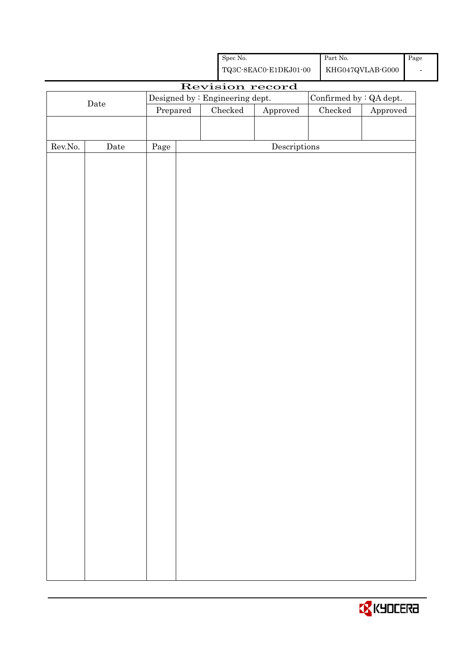|                  |                      |          |                                                    | ${\rm Spec}$ No.                |                                      |  | $\operatorname{Part}$ No.     |                         | Page |
|------------------|----------------------|----------|----------------------------------------------------|---------------------------------|--------------------------------------|--|-------------------------------|-------------------------|------|
|                  |                      |          | ${\bf TQ3C\text{-}8EAC0\text{-}E1DKJ01\text{-}00}$ |                                 |                                      |  | $\rm KHG047QVLAB\mbox{-}G000$ |                         |      |
|                  |                      |          |                                                    | Revision record                 |                                      |  |                               |                         |      |
|                  | $\rm{\textbf{Date}}$ |          |                                                    | Designed by : Engineering dept. |                                      |  |                               | Confirmed by : QA dept. |      |
|                  |                      | Prepared |                                                    | $\rm Checked$                   | Approved                             |  | ${\it Checked}$               | Approved                |      |
|                  |                      |          |                                                    |                                 |                                      |  |                               |                         |      |
|                  |                      |          |                                                    |                                 |                                      |  |                               |                         |      |
| ${\rm Rev. No.}$ | $\rm{\textbf{Date}}$ | Page     |                                                    |                                 | $\label{eq:2} \textbf{Descriptions}$ |  |                               |                         |      |
|                  |                      |          |                                                    |                                 |                                      |  |                               |                         |      |
|                  |                      |          |                                                    |                                 |                                      |  |                               |                         |      |
|                  |                      |          |                                                    |                                 |                                      |  |                               |                         |      |
|                  |                      |          |                                                    |                                 |                                      |  |                               |                         |      |
|                  |                      |          |                                                    |                                 |                                      |  |                               |                         |      |
|                  |                      |          |                                                    |                                 |                                      |  |                               |                         |      |
|                  |                      |          |                                                    |                                 |                                      |  |                               |                         |      |
|                  |                      |          |                                                    |                                 |                                      |  |                               |                         |      |
|                  |                      |          |                                                    |                                 |                                      |  |                               |                         |      |
|                  |                      |          |                                                    |                                 |                                      |  |                               |                         |      |
|                  |                      |          |                                                    |                                 |                                      |  |                               |                         |      |
|                  |                      |          |                                                    |                                 |                                      |  |                               |                         |      |
|                  |                      |          |                                                    |                                 |                                      |  |                               |                         |      |
|                  |                      |          |                                                    |                                 |                                      |  |                               |                         |      |
|                  |                      |          |                                                    |                                 |                                      |  |                               |                         |      |
|                  |                      |          |                                                    |                                 |                                      |  |                               |                         |      |
|                  |                      |          |                                                    |                                 |                                      |  |                               |                         |      |
|                  |                      |          |                                                    |                                 |                                      |  |                               |                         |      |
|                  |                      |          |                                                    |                                 |                                      |  |                               |                         |      |
|                  |                      |          |                                                    |                                 |                                      |  |                               |                         |      |
|                  |                      |          |                                                    |                                 |                                      |  |                               |                         |      |
|                  |                      |          |                                                    |                                 |                                      |  |                               |                         |      |
|                  |                      |          |                                                    |                                 |                                      |  |                               |                         |      |
|                  |                      |          |                                                    |                                 |                                      |  |                               |                         |      |
|                  |                      |          |                                                    |                                 |                                      |  |                               |                         |      |
|                  |                      |          |                                                    |                                 |                                      |  |                               |                         |      |
|                  |                      |          |                                                    |                                 |                                      |  |                               |                         |      |
|                  |                      |          |                                                    |                                 |                                      |  |                               |                         |      |
|                  |                      |          |                                                    |                                 |                                      |  |                               |                         |      |
|                  |                      |          |                                                    |                                 |                                      |  |                               |                         |      |
|                  |                      |          |                                                    |                                 |                                      |  |                               |                         |      |
|                  |                      |          |                                                    |                                 |                                      |  |                               |                         |      |
|                  |                      |          |                                                    |                                 |                                      |  |                               |                         |      |
|                  |                      |          |                                                    |                                 |                                      |  |                               |                         |      |
|                  |                      |          |                                                    |                                 |                                      |  |                               |                         |      |

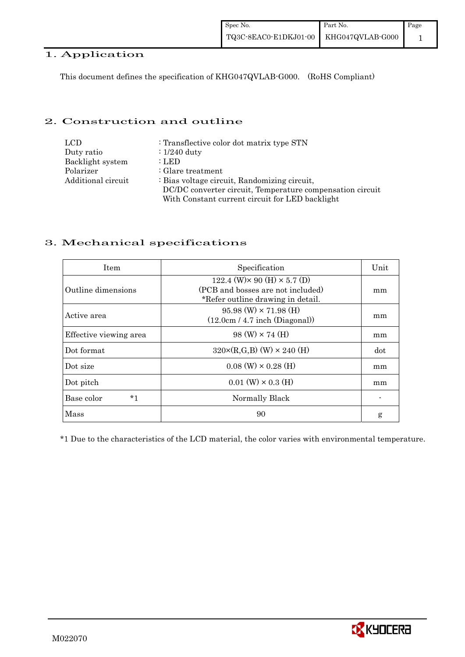#### 1. Application

This document defines the specification of KHG047QVLAB-G000. (RoHS Compliant)

#### 2. Construction and outline

| <b>LCD</b>         | : Transflective color dot matrix type STN                 |
|--------------------|-----------------------------------------------------------|
| Duty ratio         | $\div 1/240$ duty                                         |
| Backlight system   | : LED                                                     |
| Polarizer          | $\therefore$ Glare treatment                              |
| Additional circuit | : Bias voltage circuit, Randomizing circuit,              |
|                    | DC/DC converter circuit, Temperature compensation circuit |
|                    | With Constant current circuit for LED backlight           |

#### 3. Mechanical specifications

| <b>Item</b>            | Specification                                                                                                        | Unit |
|------------------------|----------------------------------------------------------------------------------------------------------------------|------|
| Outline dimensions     | 122.4 (W) $\times$ 90 (H) $\times$ 5.7 (D)<br>(PCB and bosses are not included)<br>*Refer outline drawing in detail. | mm   |
| Active area            | $95.98$ (W) $\times$ 71.98 (H)<br>(12.0cm / 4.7 inch (Diagonal))                                                     | mm   |
| Effective viewing area | $98 \text{ (W)} \times 74 \text{ (H)}$                                                                               | mm   |
| Dot format             | $320 \times (R, G, B)$ (W) $\times 240$ (H)                                                                          | dot  |
| Dot size               | $0.08$ (W) $\times$ 0.28 (H)                                                                                         | mm   |
| Dot pitch              | $0.01$ (W) $\times$ 0.3 (H)                                                                                          | mm   |
| $*1$<br>Base color     | Normally Black                                                                                                       |      |
| Mass                   | 90                                                                                                                   | g    |

\*1 Due to the characteristics of the LCD material, the color varies with environmental temperature.

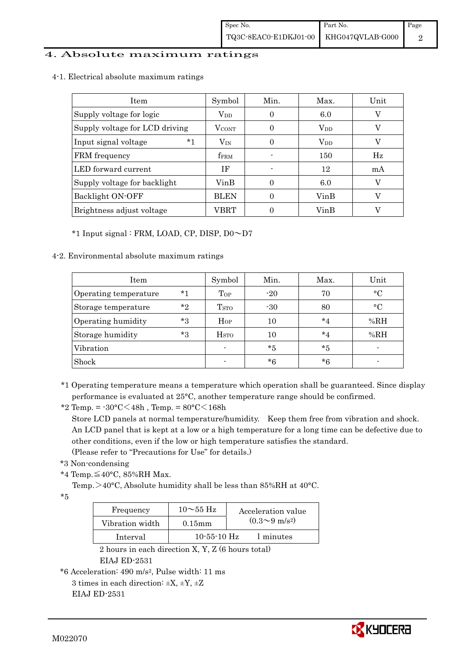#### 4. Absolute maximum ratings

4-1. Electrical absolute maximum ratings

| Item                           | Symbol           | Min. | Max.         | Unit |
|--------------------------------|------------------|------|--------------|------|
| Supply voltage for logic       | $V_{DD}$         | 0    | 6.0          | V    |
| Supply voltage for LCD driving | <b>VCONT</b>     |      | $\rm V_{DD}$ |      |
| $*1$<br>Input signal voltage   | $V_{IN}$         |      | $\rm V_{DD}$ | V    |
| FRM frequency                  | f <sub>FRM</sub> |      | 150          | Hz   |
| LED forward current            | ΙF               |      | 12           | mA   |
| Supply voltage for backlight   | VinB             |      | 6.0          |      |
| Backlight ON-OFF               | <b>BLEN</b>      |      | VinB         |      |
| Brightness adjust voltage      | VBRT             |      | VinB         |      |

\*1 Input signal : FRM, LOAD, CP, DISP, D0~D7

#### 4-2. Environmental absolute maximum ratings

| Item                  |         | Symbol                  | Min.  | Max.    | Unit         |
|-----------------------|---------|-------------------------|-------|---------|--------------|
| Operating temperature | $*1$    | Top                     | $-20$ | 70      | $^{\circ}$ C |
| Storage temperature   | $*$ ?   | T <sub>STO</sub>        | $-30$ | 80      | $^{\circ}C$  |
| Operating humidity    | $*_{3}$ | Hop                     | 10    | $*_{4}$ | %RH          |
| Storage humidity      | $*_{3}$ | <b>H</b> <sub>sto</sub> | 10    | $*_{4}$ | %RH          |
| Vibration             |         |                         | $*5$  | $*_{5}$ |              |
| Shock                 |         |                         | $*6$  | $*6$    |              |

<sup>\*1</sup> Operating temperature means a temperature which operation shall be guaranteed. Since display performance is evaluated at 25°C, another temperature range should be confirmed.

 Store LCD panels at normal temperature/humidity. Keep them free from vibration and shock. An LCD panel that is kept at a low or a high temperature for a long time can be defective due to other conditions, even if the low or high temperature satisfies the standard.

(Please refer to "Precautions for Use" for details.)

```
 *3 Non-condensing
```
\*4 Temp.≦40°C, 85%RH Max.

Temp. $>40^{\circ}$ C, Absolute humidity shall be less than 85%RH at 40°C.

\*5

| Frequency       | $10 \sim 55$ Hz   | Acceleration value           |
|-----------------|-------------------|------------------------------|
| Vibration width | $0.15$ m m        | $(0.3 \sim 9 \text{ m/s}^2)$ |
| Interval        | $10 - 55 - 10$ Hz | 1 minutes                    |

 2 hours in each direction X, Y, Z (6 hours total) EIAJ ED-2531

```
*6 Acceleration: 490 m/s2, Pulse width: 11 ms 
3 times in each direction: \pm X, \pm Y, \pm Z
```

```
 EIAJ ED-2531
```


<sup>\*2</sup> Temp. =  $-30^{\circ}$ C $<$ 48h, Temp. =  $80^{\circ}$ C $<$ 168h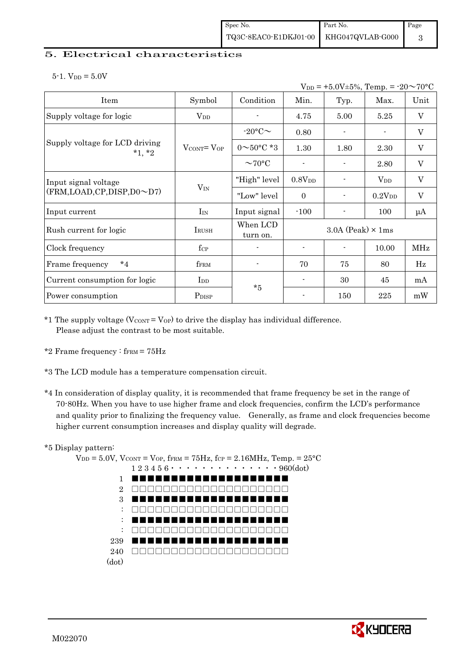#### 5. Electrical characteristics

 $5-1.$  V<sub>DD</sub> =  $5.0V$ 

|                                            |                                   |                          |                          | $V_{DD}$ = +5.0V±5%, Temp. = -20 $\sim$ 70°C |                    |                           |
|--------------------------------------------|-----------------------------------|--------------------------|--------------------------|----------------------------------------------|--------------------|---------------------------|
| Item                                       | Symbol                            | Condition                | Min.                     | Typ.                                         | Max.               | Unit                      |
| Supply voltage for logic                   | $\rm V_{DD}$                      |                          | 4.75                     | 5.00                                         | 5.25               | V                         |
|                                            |                                   | $-20$ °C $\sim$          | 0.80                     |                                              |                    | V                         |
| Supply voltage for LCD driving<br>$*1, *2$ | $V_{\text{CONT}} = V_{\text{OP}}$ | $0 \sim 50^{\circ}$ C *3 | 1.30                     | 1.80                                         | 2.30               | $\mathbf V$               |
|                                            |                                   | $\sim$ 70°C              |                          |                                              | 2.80               | $\boldsymbol{\mathrm{V}}$ |
| Input signal voltage                       |                                   | "High" level             | 0.8V <sub>DD</sub>       | $\blacksquare$                               | $V_{DD}$           | $\rm V$                   |
| (FRM,LOAD,CP,DISP,D0~D7)                   | $V_{IN}$                          | "Low" level              | $\theta$                 |                                              | 0.2V <sub>DD</sub> | $\rm V$                   |
| Input current                              | $I_{IN}$                          | Input signal             | $-100$                   |                                              | 100                | μA                        |
| Rush current for logic                     | IRUSH                             | When LCD<br>turn on.     |                          | $3.0A$ (Peak) $\times$ 1ms                   |                    |                           |
| Clock frequency                            | $f_{\rm CP}$                      | $\overline{a}$           | $\overline{\phantom{a}}$ | $\overline{\phantom{a}}$                     | 10.00              | <b>MHz</b>                |
| $*_{4}$<br>Frame frequency                 | ${\rm f_{FRM}}$                   |                          | 70                       | 75                                           | 80                 | Hz                        |
| Current consumption for logic              | $_{\rm{Lpp}}$                     | $*5$                     | $\overline{\phantom{a}}$ | 30                                           | 45                 | mA                        |
| Power consumption                          | P <sub>DISP</sub>                 |                          |                          | 150                                          | 225                | mW                        |

\*1 The supply voltage ( $V_{\text{CONT}} = V_{\text{OP}}$ ) to drive the display has individual difference. Please adjust the contrast to be most suitable.

- \*2 Frame frequency :  $f_{\text{FRM}} = 75 \text{Hz}$
- \*3 The LCD module has a temperature compensation circuit.
- \*4 In consideration of display quality, it is recommended that frame frequency be set in the range of 70-80Hz. When you have to use higher frame and clock frequencies, confirm the LCD's performance and quality prior to finalizing the frequency value. Generally, as frame and clock frequencies become higher current consumption increases and display quality will degrade.

#### \*5 Display pattern:

 $V_{DD} = 5.0V$ ,  $V_{CONT} = V_{OP}$ ,  $f_{FRM} = 75Hz$ ,  $f_{CP} = 2.16MHz$ ,  $Temp. = 25°C$  $1\,2\,3\,4\,5\,6\cdots\cdots\cdots\cdots\cdots\cdots\cdots960(\mathrm{dot})$ 1 2 3 : : : 239 240 □□□□□□□□□□□□□□□□□□□□(dot) ■■■■■■■■■■■■■■■■■■■■ □□□□□□□□□□□□□□□□□□□□ ■■■■■■■■■■■■■■■■■■■■ □□□□□□□□□□□□□□□□□□□□ ■■■■■■■■■■■■■■■■■■■■ □□□□□□□□□□□□□□□□□□□□ ■■■■■■■■■■■■■■■■■■■■

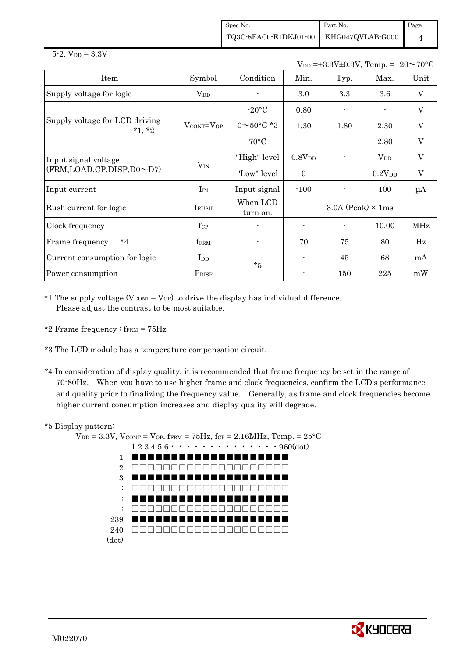Spec No. TQ3C-8EAC0-E1DKJ01-00 Part No. KHG047QVLAB-G000 Page 4

#### $5 - 2.$  V<sub>DD</sub> =  $3.3V$

 $V_{DD} = +3.3V \pm 0.3V$ , Temp. =  $-20 \sim 70$ °C

| Item                                       | Symbol                            | Condition                | Min.                       | Typ. | Max.               | Unit                      |
|--------------------------------------------|-----------------------------------|--------------------------|----------------------------|------|--------------------|---------------------------|
| Supply voltage for logic                   | $V_{DD}$                          |                          | 3.0                        | 3.3  | 3.6                | $\boldsymbol{\mathrm{V}}$ |
|                                            |                                   | $-20\textdegree C$       | 0.80                       |      |                    | V                         |
| Supply voltage for LCD driving<br>$*1, *2$ | $V_{\text{CONT}} = V_{\text{OP}}$ | $0 \sim 50^{\circ}$ C *3 | 1.30                       | 1.80 | 2.30               | $\mathbf V$               |
|                                            |                                   | $70^{\circ}$ C           |                            |      | 2.80               | V                         |
| Input signal voltage                       |                                   | "High" level             | 0.8V <sub>DD</sub>         |      | $\rm V_{DD}$       | $\boldsymbol{\mathrm{V}}$ |
| (FRM,LOAD,CP,DISP,D0~D7)                   | $V_{IN}$                          | "Low" level              | $\Omega$                   |      | 0.2V <sub>DD</sub> | $\boldsymbol{\mathrm{V}}$ |
| Input current                              | $I_{IN}$                          | Input signal             | $-100$                     |      | 100                | μA                        |
| Rush current for logic                     | IRUSH                             | When LCD<br>turn on.     | $3.0A$ (Peak) $\times$ 1ms |      |                    |                           |
| Clock frequency                            | $f_{\rm CP}$                      |                          |                            |      | 10.00              | MHz                       |
| $*_{4}$<br>Frame frequency                 | fFRM                              |                          | 70                         | 75   | 80                 | Hz                        |
| Current consumption for logic              | I <sub>DD</sub>                   | $*5$                     |                            | 45   | 68                 | mA                        |
| Power consumption                          | P <sub>DISP</sub>                 |                          |                            | 150  | 225                | mW                        |

 $*1$  The supply voltage (V $_{\text{CONT}} =$  V<sub>OP</sub>) to drive the display has individual difference. Please adjust the contrast to be most suitable.

- \*2 Frame frequency :  $f_{\text{FRM}} = 75 \text{Hz}$
- \*3 The LCD module has a temperature compensation circuit.
- \*4 In consideration of display quality, it is recommended that frame frequency be set in the range of 70-80Hz. When you have to use higher frame and clock frequencies, confirm the LCD's performance and quality prior to finalizing the frequency value. Generally, as frame and clock frequencies become higher current consumption increases and display quality will degrade.

#### \*5 Display pattern:



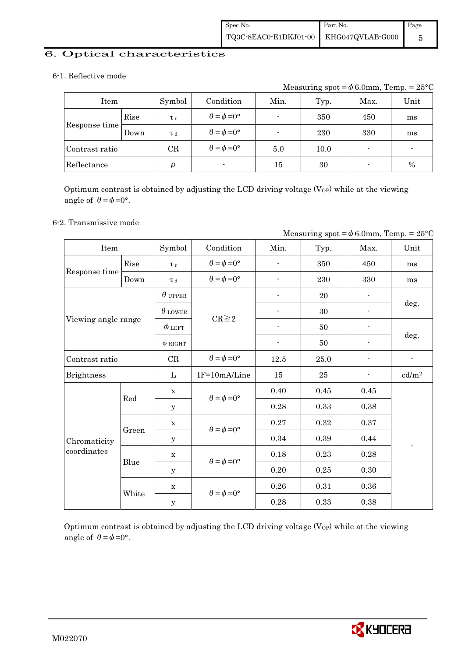#### 6. Optical characteristics

#### 6-1. Reflective mode

Measuring spot =  $\phi$  6.0mm, Temp. = 25°C

| Item           |      | Symbol              | Condition                   | Min.   | Typ. | Max.                     | Unit |
|----------------|------|---------------------|-----------------------------|--------|------|--------------------------|------|
|                | Rise | $\tau_r$            | $\theta = \phi = 0^{\circ}$ |        | 350  | 450                      | ms   |
| Response time  | Down | T d                 | $\theta = \phi = 0^{\circ}$ |        | 230  | 330                      | ms   |
| Contrast ratio |      | CR                  | $\theta = \phi = 0^{\circ}$ | 5.0    | 10.0 | $\overline{\phantom{0}}$ | -    |
| Reflectance    |      | $\boldsymbol{\rho}$ | $\blacksquare$              | $15\,$ | 30   | $\overline{\phantom{0}}$ | $\%$ |

Optimum contrast is obtained by adjusting the LCD driving voltage  $(V_{OP})$  while at the viewing angle of  $\theta = \phi = 0^{\circ}$ .

#### 6-2. Transmissive mode

|                     |       |                |                             | Measuring spot = $\phi$ 6.0mm, Temp. = 25°C |      |      |                          |
|---------------------|-------|----------------|-----------------------------|---------------------------------------------|------|------|--------------------------|
| Item                |       | Symbol         | Condition                   | Min.                                        | Typ. | Max. | Unit                     |
|                     | Rise  | $\tau_r$       | $\theta = \phi = 0^{\circ}$ |                                             | 350  | 450  | ms                       |
| Response time       | Down  | $\tau$ d       | $\theta = \phi = 0^{\circ}$ |                                             | 230  | 330  | ms                       |
|                     |       | $\theta$ upper |                             |                                             | 20   |      |                          |
|                     |       | $\theta$ lower | $CR \geq 2$                 |                                             | 30   |      | deg.                     |
| Viewing angle range |       | $\phi$ left    |                             |                                             | 50   |      |                          |
|                     |       | $\phi$ RIGHT   |                             | $\overline{\phantom{a}}$                    | 50   |      | deg.                     |
| Contrast ratio      |       | CR             | $\theta = \phi = 0^{\circ}$ | 12.5                                        | 25.0 |      | $\overline{\phantom{a}}$ |
| <b>Brightness</b>   |       | L              | IF=10mA/Line                | 15                                          | 25   |      | cd/m <sup>2</sup>        |
|                     | Red   | $\mathbf x$    | $\theta = \phi = 0^{\circ}$ | 0.40                                        | 0.45 | 0.45 |                          |
|                     |       | y              |                             | 0.28                                        | 0.33 | 0.38 |                          |
|                     |       | $\mathbf X$    | $\theta = \phi = 0^{\circ}$ | 0.27                                        | 0.32 | 0.37 |                          |
| Chromaticity        | Green | y              |                             | 0.34                                        | 0.39 | 0.44 |                          |
| coordinates         |       | $\mathbf X$    | $\theta = \phi = 0^{\circ}$ | 0.18                                        | 0.23 | 0.28 |                          |
|                     | Blue  | y              |                             | 0.20                                        | 0.25 | 0.30 |                          |
|                     |       | $\mathbf X$    |                             | 0.26                                        | 0.31 | 0.36 |                          |
|                     | White | $\mathbf{y}$   | $\theta = \phi = 0^{\circ}$ | 0.28                                        | 0.33 | 0.38 |                          |

Optimum contrast is obtained by adjusting the LCD driving voltage  $(V_{OP})$  while at the viewing angle of  $\theta = \phi = 0^{\circ}$ .

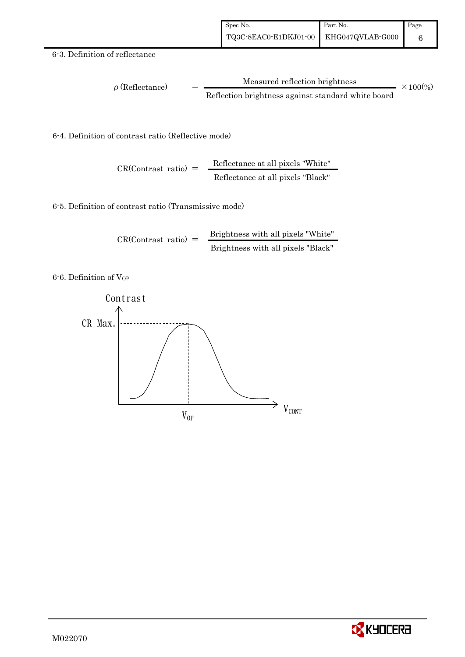#### 6-3. Definition of reflectance

$$
\rho (Reflectance) = \frac{Measured reflection brightness}{Reflection brightness against standard white board} \times 100\%
$$

6-4. Definition of contrast ratio (Reflective mode)

$$
CR(Contrast ratio) = \frac{Reflectance at all pixels "White"
$$
Reflectance at all pixels "Black"

6-5. Definition of contrast ratio (Transmissive mode)

$$
CR(Contrast ratio) = \frac{Brightness with all pixels "White"}
$$
  
Brightness with all pixels "Black"

6-6. Definition of VOP



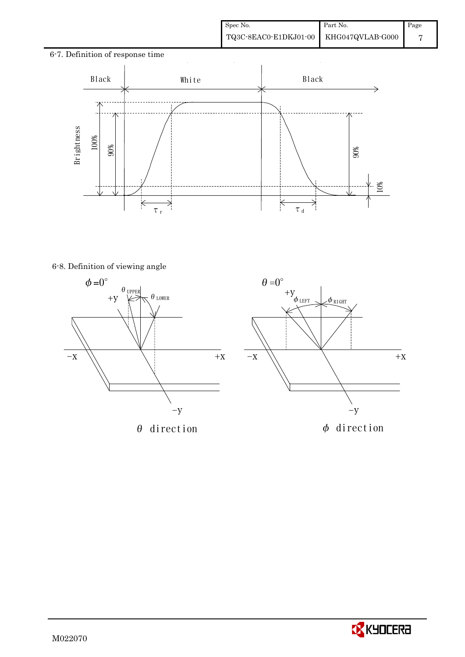# 6-7. Definition of response time  $\ddot{\phantom{a}}$ Black | White | Black - 71 6-8. Definition of viewing angle 90% 10%  $\overline{\times}$ ₹ τr  $\tau$ <sub>d</sub>





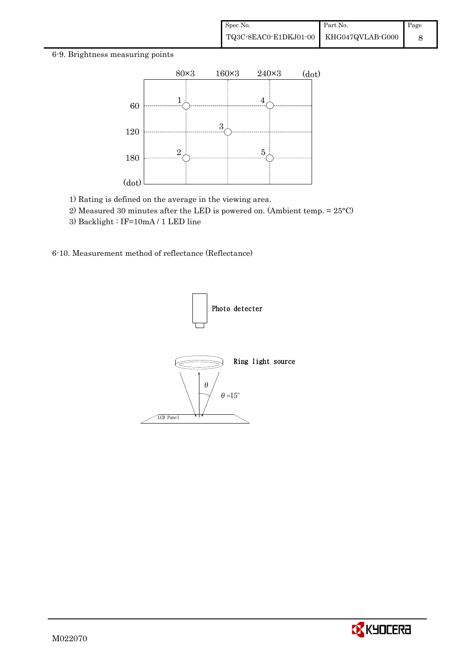#### 6-9. Brightness measuring points



- 1) Rating is defined on the average in the viewing area.
- 2) Measured 30 minutes after the LED is powered on. (Ambient temp. = 25°C)
- 3) Backlight : IF=10mA / 1 LED line

6-10. Measurement method of reflectance (Reflectance)



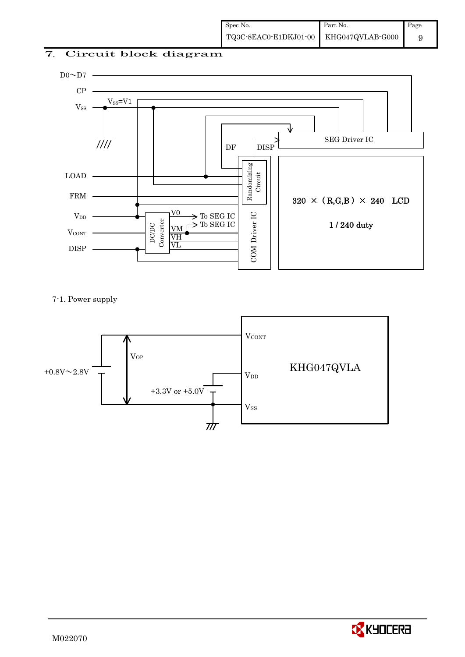### 7. Circuit block diagram



7-1. Power supply



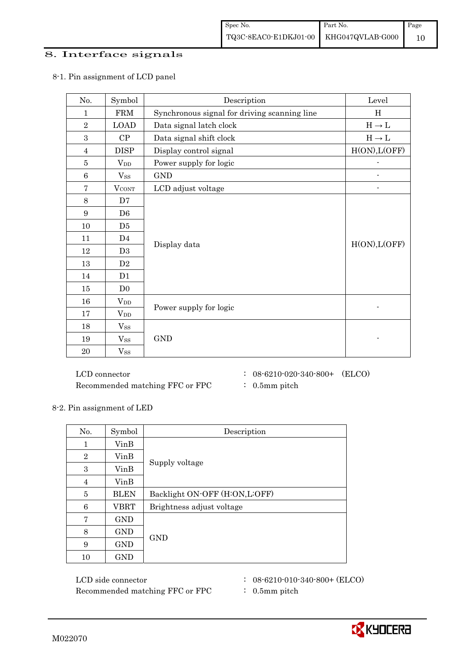#### 8. Interface signals

| No.             | Symbol         | Description                                  | Level                             |
|-----------------|----------------|----------------------------------------------|-----------------------------------|
| 1               | <b>FRM</b>     | Synchronous signal for driving scanning line | H                                 |
| $\overline{2}$  | <b>LOAD</b>    | Data signal latch clock                      | $\text{H} \rightarrow \text{L}$   |
| 3               | CP             | Data signal shift clock                      | $\mathrm{H}\rightarrow\mathrm{L}$ |
| $\overline{4}$  | <b>DISP</b>    | Display control signal                       | H(ON), L(OFF)                     |
| $\bf 5$         | $V_{DD}$       | Power supply for logic                       | $\overline{a}$                    |
| $6\phantom{1}6$ | $V_{SS}$       | <b>GND</b>                                   |                                   |
| $\overline{7}$  | <b>VCONT</b>   | LCD adjust voltage                           |                                   |
| 8               | D7             |                                              |                                   |
| 9               | D <sub>6</sub> |                                              |                                   |
| 10              | D <sub>5</sub> |                                              |                                   |
| 11              | D <sub>4</sub> |                                              |                                   |
| 12              | D <sub>3</sub> | Display data                                 | H(ON), L(OFF)                     |
| 13              | D2             |                                              |                                   |
| 14              | D <sub>1</sub> |                                              |                                   |
| 15              | D <sub>0</sub> |                                              |                                   |
| 16              | $V_{DD}$       |                                              |                                   |
| $17\,$          | $V_{DD}$       | Power supply for logic                       |                                   |
| 18              | $V_{SS}$       |                                              |                                   |
| 19              | $V_{SS}$       | <b>GND</b>                                   |                                   |
| 20              | $V_{SS}$       |                                              |                                   |

#### 8-1. Pin assignment of LCD panel

 $\rm{LCD~connector} \hspace{1.5cm} : \hspace{.3cm} 08\text{-}6210\text{-}020\text{-}340\text{-}800+ \hspace{.3cm} (\rm{ELCO})$ Recommended matching FFC or FPC  $\qquad : 0.5$ mm pitch

- 
- 
- 

8-2. Pin assignment of LED

| No.            | Symbol      | Description                   |  |  |
|----------------|-------------|-------------------------------|--|--|
| 1              | VinB        |                               |  |  |
| $\overline{2}$ | VinB        |                               |  |  |
| 3              | VinB        | Supply voltage                |  |  |
| $\overline{4}$ | VinB        |                               |  |  |
| 5              | <b>BLEN</b> | Backlight ON-OFF (H:ON,L:OFF) |  |  |
| 6              | <b>VBRT</b> | Brightness adjust voltage     |  |  |
| 7              | <b>GND</b>  |                               |  |  |
| 8              | GND         |                               |  |  |
| 9              | GND         | <b>GND</b>                    |  |  |
| 10             | <b>GND</b>  |                               |  |  |

LCD side connector : 08-6210-010-340-800+ (ELCO) Recommended matching FFC or FPC : 0.5mm pitch

- 
- 

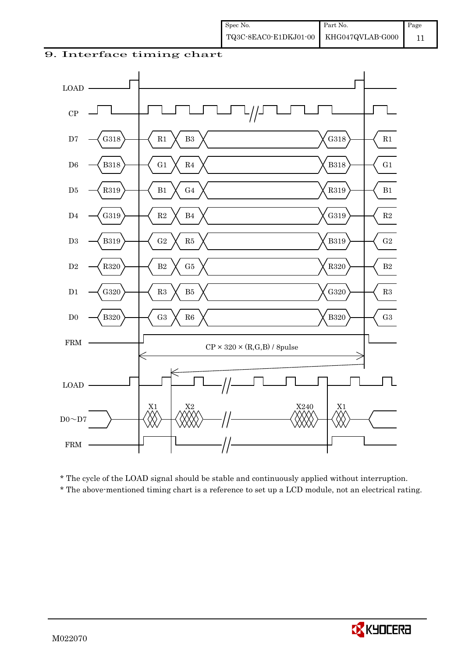#### 9. Interface timing chart



\* The cycle of the LOAD signal should be stable and continuously applied without interruption.

\* The above-mentioned timing chart is a reference to set up a LCD module, not an electrical rating.

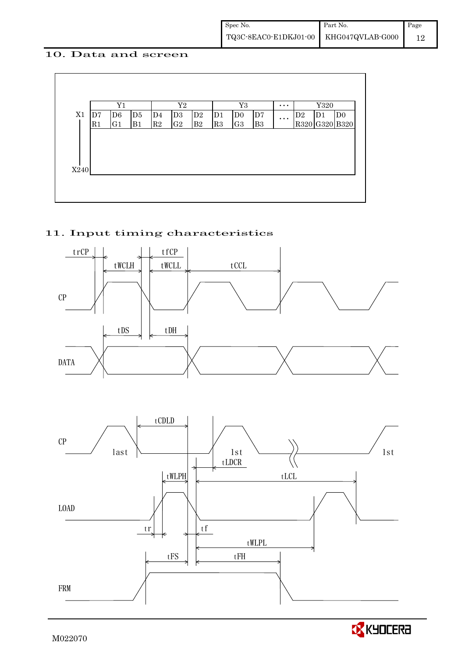#### 10. Data and screen



#### 11. Input timing characteristics



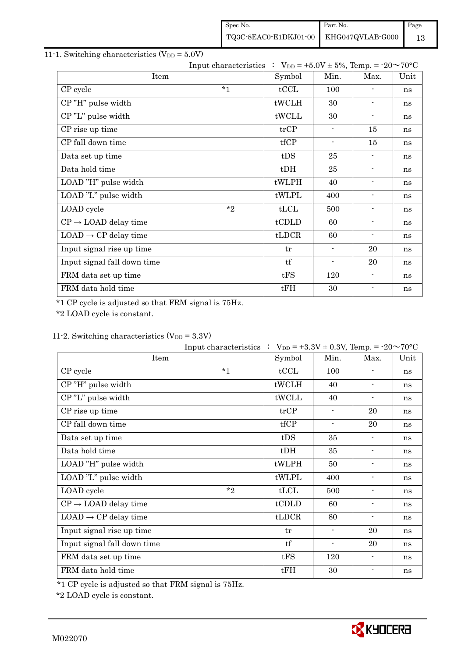| Spec No.                                                                                    | Part No. | Page |
|---------------------------------------------------------------------------------------------|----------|------|
| $\begin{tabular}{c c c} \textbf{TQ3C-8EAC0-E1DKJ01-00} & KHG047QVLAB-G000 \\ \end{tabular}$ |          |      |

### 11-1. Switching characteristics  $(V_{DD} = 5.0V)$

|                                  | Input characteristics : $V_{DD} = +5.0V \pm 5\%$ , Temp. = -20~70°C |        |                          |                          |      |
|----------------------------------|---------------------------------------------------------------------|--------|--------------------------|--------------------------|------|
| Item                             |                                                                     | Symbol | Min.                     | Max.                     | Unit |
| CP cycle                         | $*_{1}$                                                             | tCCL   | 100                      |                          | ns   |
| CP"H" pulse width                |                                                                     | tWCLH  | 30                       | $\blacksquare$           | ns   |
| CP"L" pulse width                |                                                                     | tWCLL  | 30                       | $\overline{\phantom{a}}$ | ns   |
| CP rise up time                  |                                                                     | trCP   | $\blacksquare$           | 15                       | ns   |
| CP fall down time                |                                                                     | tfCP   | $\overline{\phantom{a}}$ | 15                       | ns   |
| Data set up time                 |                                                                     | tDS    | 25                       | $\overline{\phantom{a}}$ | ns   |
| Data hold time                   |                                                                     | $t$ DH | 25                       | $\overline{\phantom{a}}$ | ns   |
| LOAD "H" pulse width             |                                                                     | tWLPH  | 40                       | $\overline{\phantom{a}}$ | ns   |
| LOAD "L" pulse width             |                                                                     | tWLPL  | 400                      | $\blacksquare$           | ns   |
| LOAD cycle                       | $*$                                                                 | tLCL   | 500                      | $\overline{\phantom{a}}$ | ns   |
| $CP \rightarrow$ LOAD delay time |                                                                     | tCDLD  | 60                       | $\overline{\phantom{a}}$ | ns   |
| $LOAD \rightarrow CP$ delay time |                                                                     | tLDCR  | 60                       | $\blacksquare$           | ns   |
| Input signal rise up time        |                                                                     | tr     | $\overline{\phantom{a}}$ | 20                       | ns   |
| Input signal fall down time      |                                                                     | tf     | $\overline{\phantom{a}}$ | 20                       | ns   |
| FRM data set up time             |                                                                     | tFS    | 120                      | $\blacksquare$           | ns   |
| FRM data hold time               |                                                                     | tFH    | 30                       | $\blacksquare$           | ns   |

\*1 CP cycle is adjusted so that FRM signal is 75Hz.

\*2 LOAD cycle is constant.

### 11-2. Switching characteristics  $(V_{DD} = 3.3V)$

|                                  | Input characteristics : $V_{DD} = +3.3V \pm 0.3V$ , Temp. = -20~70°C |                          |                          |      |
|----------------------------------|----------------------------------------------------------------------|--------------------------|--------------------------|------|
| Item                             | Symbol                                                               | Min.                     | Max.                     | Unit |
| $*_{1}$<br>CP cycle              | tCCL                                                                 | 100                      |                          | ns   |
| CP"H" pulse width                | tWCLH                                                                | 40                       | $\blacksquare$           | ns   |
| CP"L" pulse width                | tWCLL                                                                | 40                       | $\blacksquare$           | ns   |
| CP rise up time                  | trCP                                                                 | $\overline{\phantom{a}}$ | 20                       | ns   |
| CP fall down time                | tfCP                                                                 | $\blacksquare$           | 20                       | ns   |
| Data set up time                 | tDS                                                                  | 35                       | $\blacksquare$           | ns   |
| Data hold time                   | $t$ DH                                                               | 35                       | $\overline{\phantom{a}}$ | ns   |
| LOAD "H" pulse width             | tWLPH                                                                | 50                       | $\overline{\phantom{a}}$ | ns   |
| LOAD "L" pulse width             | tWLPL                                                                | 400                      | $\overline{\phantom{a}}$ | ns   |
| $*_{2}$<br>LOAD cycle            | tLCL                                                                 | 500                      | $\blacksquare$           | ns   |
| $CP \rightarrow$ LOAD delay time | tCDLD                                                                | 60                       | $\overline{\phantom{a}}$ | ns   |
| $LOAD \rightarrow CP$ delay time | tLDCR                                                                | 80                       | $\blacksquare$           | ns   |
| Input signal rise up time        | tr                                                                   | $\overline{\phantom{a}}$ | 20                       | ns   |
| Input signal fall down time      | tf                                                                   | $\overline{\phantom{a}}$ | 20                       | ns   |
| FRM data set up time             | tFS                                                                  | 120                      | $\overline{\phantom{a}}$ | ns   |
| FRM data hold time               | tFH                                                                  | 30                       |                          | ns   |

\*1 CP cycle is adjusted so that FRM signal is 75Hz.

\*2 LOAD cycle is constant.

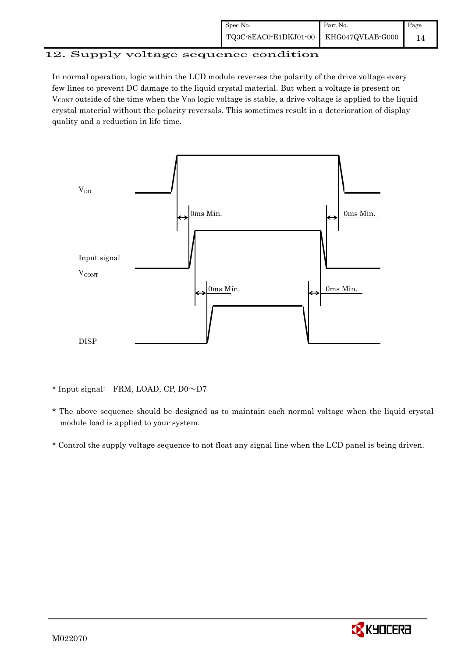#### 12. Supply voltage sequence condition

In normal operation, logic within the LCD module reverses the polarity of the drive voltage every few lines to prevent DC damage to the liquid crystal material. But when a voltage is present on  $V_{\text{CONT}}$  outside of the time when the  $V_{\text{DD}}$  logic voltage is stable, a drive voltage is applied to the liquid crystal material without the polarity reversals. This sometimes result in a deterioration of display quality and a reduction in life time.



\* Input signal: FRM, LOAD, CP, D0~D7

- \* The above sequence should be designed as to maintain each normal voltage when the liquid crystal module load is applied to your system.
- \* Control the supply voltage sequence to not float any signal line when the LCD panel is being driven.

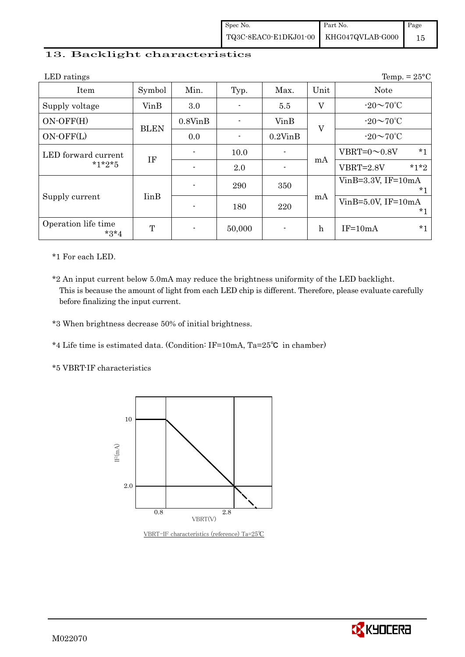#### 13. Backlight characteristics

| LED ratings                   |                          |               |        |               |              | Temp. = $25^{\circ}$ C         |
|-------------------------------|--------------------------|---------------|--------|---------------|--------------|--------------------------------|
| Item                          | Symbol                   | Min.          | Typ.   | Max.          | Unit         | <b>Note</b>                    |
| Supply voltage                | VinB                     | 3.0           |        | 5.5           | $\rm V$      | $-20\sim70^{\circ}$ C          |
| $ON-OFF(H)$                   |                          | $0.8V$ in $B$ |        | VinB          | V            | $-20\sim70^{\circ}$ C          |
| $ON-OFF(L)$                   | <b>BLEN</b>              | 0.0           |        | $0.2$ Vin $B$ |              | $-20\sim70^{\circ}$ C          |
| LED forward current           | <b>IF</b>                |               | 10.0   |               | mA           | $*_{1}$<br>VBRT= $0 \sim 0.8V$ |
| $*1*2*5$                      |                          |               | 2.0    |               |              | $*1*2$<br>VBRT=2.8V            |
|                               |                          |               | 290    | 350           |              | $VinB=3.3V$ , IF= $10mA$<br>*1 |
| Supply current                | <b>I</b> in <sub>B</sub> |               | 180    | 220           | mA           | $VinB=5.0V$ , IF=10mA<br>*1    |
| Operation life time<br>$*3*4$ | T                        |               | 50,000 |               | $\mathbf{h}$ | $*1$<br>$IF=10mA$              |

\*1 For each LED.

\*2 An input current below 5.0mA may reduce the brightness uniformity of the LED backlight. This is because the amount of light from each LED chip is different. Therefore, please evaluate carefully before finalizing the input current.

\*3 When brightness decrease 50% of initial brightness.

\*4 Life time is estimated data. (Condition: IF=10mA, Ta=25㷄 in chamber)

\*5 VBRT-IF characteristics



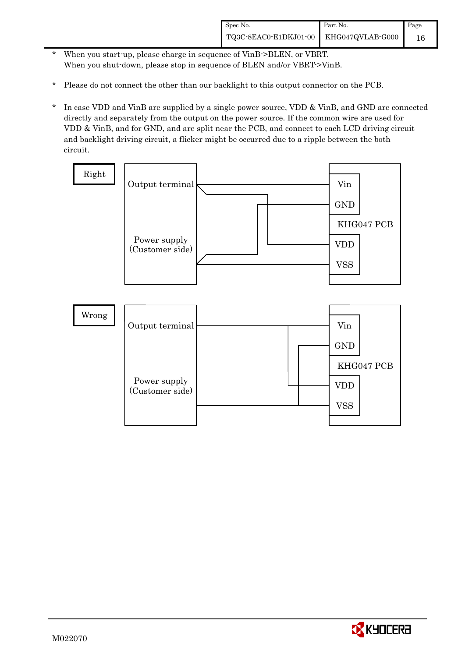- \* When you start-up, please charge in sequence of VinB->BLEN, or VBRT. When you shut-down, please stop in sequence of BLEN and/or VBRT->VinB.
- \* Please do not connect the other than our backlight to this output connector on the PCB.
- \* In case VDD and VinB are supplied by a single power source, VDD & VinB, and GND are connected directly and separately from the output on the power source. If the common wire are used for VDD & VinB, and for GND, and are split near the PCB, and connect to each LCD driving circuit and backlight driving circuit, a flicker might be occurred due to a ripple between the both circuit.



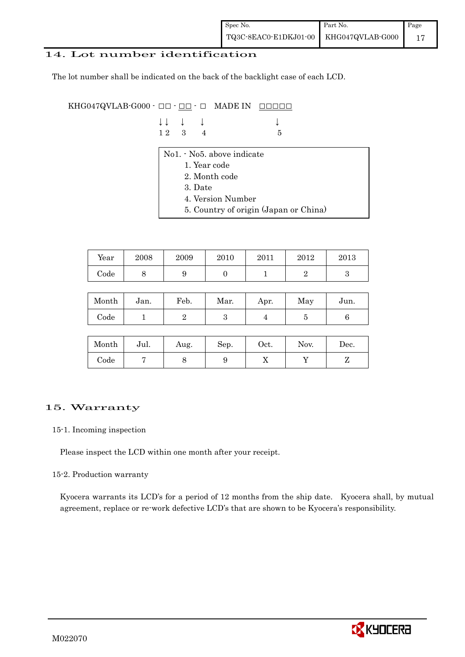#### 14. Lot number identification

The lot number shall be indicated on the back of the backlight case of each LCD.

KHG047QVLAB-G000  $\cdot$  OO  $\cdot$  OO  $\cdot$  O MADE IN OOOOO

|  | $\downarrow \downarrow \quad \downarrow \quad \downarrow$ |     | $\downarrow$ |
|--|-----------------------------------------------------------|-----|--------------|
|  | $12 \quad 3 \quad 4$                                      | - 5 |              |

- No1. No5. above indicate
	- 1. Year code
	- 2. Month code
	- 3. Date
	- 4. Version Number
	- 5. Country of origin (Japan or China)

| Year | 2008 | 2009 | 2010 | 2011 | 2012 | 2013 |
|------|------|------|------|------|------|------|
| Code | ັ    |      |      |      |      |      |

| Month | Jan. | Feb. | Mar. | Apr. | May | Jun. |
|-------|------|------|------|------|-----|------|
| Code  |      |      | ౿    |      |     |      |

| Month      | Jul. | Aug. | Sep. | $\rm Oct.$ | Nov. | Dec. |
|------------|------|------|------|------------|------|------|
| $\rm Code$ |      |      |      | ∡⊾         |      |      |

#### 15. Warranty

#### 15-1. Incoming inspection

Please inspect the LCD within one month after your receipt.

#### 15-2. Production warranty

 Kyocera warrants its LCD's for a period of 12 months from the ship date. Kyocera shall, by mutual agreement, replace or re-work defective LCD's that are shown to be Kyocera's responsibility.

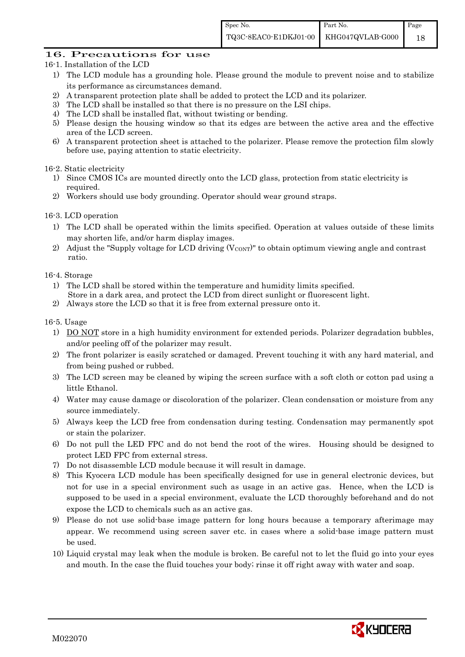#### 16. Precautions for use

- 16-1. Installation of the LCD
	- 1) The LCD module has a grounding hole. Please ground the module to prevent noise and to stabilize its performance as circumstances demand.
	- 2) A transparent protection plate shall be added to protect the LCD and its polarizer.
	- 3) The LCD shall be installed so that there is no pressure on the LSI chips.
	- 4) The LCD shall be installed flat, without twisting or bending.
	- 5) Please design the housing window so that its edges are between the active area and the effective area of the LCD screen.
	- 6) A transparent protection sheet is attached to the polarizer. Please remove the protection film slowly before use, paying attention to static electricity.

#### 16-2. Static electricity

- 1) Since CMOS ICs are mounted directly onto the LCD glass, protection from static electricity is required.
- 2) Workers should use body grounding. Operator should wear ground straps.

#### 16-3. LCD operation

- 1) The LCD shall be operated within the limits specified. Operation at values outside of these limits may shorten life, and/or harm display images.
- 2) Adjust the "Supply voltage for LCD driving  $(V_{\text{CONT}})$ " to obtain optimum viewing angle and contrast ratio.

#### 16-4. Storage

- 1) The LCD shall be stored within the temperature and humidity limits specified. Store in a dark area, and protect the LCD from direct sunlight or fluorescent light.
- 2) Always store the LCD so that it is free from external pressure onto it.

#### 16-5. Usage

- 1) DO NOT store in a high humidity environment for extended periods. Polarizer degradation bubbles, and/or peeling off of the polarizer may result.
- 2) The front polarizer is easily scratched or damaged. Prevent touching it with any hard material, and from being pushed or rubbed.
- 3) The LCD screen may be cleaned by wiping the screen surface with a soft cloth or cotton pad using a little Ethanol.
- 4) Water may cause damage or discoloration of the polarizer. Clean condensation or moisture from any source immediately.
- 5) Always keep the LCD free from condensation during testing. Condensation may permanently spot or stain the polarizer.
- 6) Do not pull the LED FPC and do not bend the root of the wires. Housing should be designed to protect LED FPC from external stress.
- 7) Do not disassemble LCD module because it will result in damage.
- 8) This Kyocera LCD module has been specifically designed for use in general electronic devices, but not for use in a special environment such as usage in an active gas. Hence, when the LCD is supposed to be used in a special environment, evaluate the LCD thoroughly beforehand and do not expose the LCD to chemicals such as an active gas.
- 9) Please do not use solid-base image pattern for long hours because a temporary afterimage may appear. We recommend using screen saver etc. in cases where a solid-base image pattern must be used.
- 10) Liquid crystal may leak when the module is broken. Be careful not to let the fluid go into your eyes and mouth. In the case the fluid touches your body; rinse it off right away with water and soap.

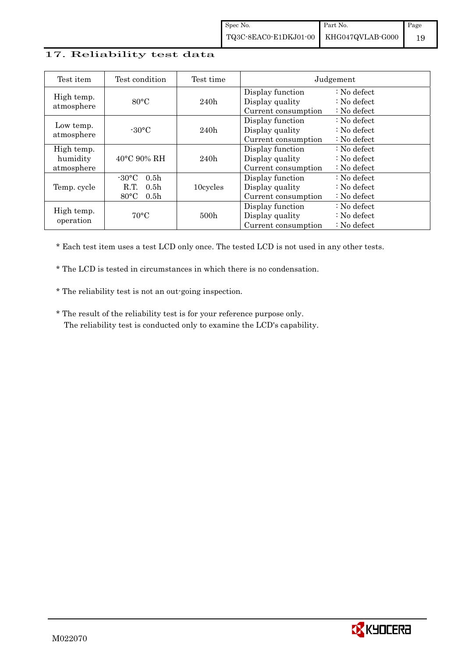#### 17. Reliability test data

| Test item                            | Test condition                                                                                        | Test time        |                                                            | Judgement                                                                  |
|--------------------------------------|-------------------------------------------------------------------------------------------------------|------------------|------------------------------------------------------------|----------------------------------------------------------------------------|
| High temp.<br>atmosphere             | $80^{\circ}$ C                                                                                        | 240h             | Display function<br>Display quality<br>Current consumption | $\therefore$ No defect<br>$\therefore$ No defect<br>$\therefore$ No defect |
| Low temp.<br>atmosphere              | $-30^{\circ}$ C                                                                                       | 240h             | Display function<br>Display quality<br>Current consumption | $\therefore$ No defect<br>: No defect<br>$\therefore$ No defect            |
| High temp.<br>humidity<br>atmosphere | $40^{\circ}$ C 90% RH                                                                                 | 240h             | Display function<br>Display quality<br>Current consumption | : No defect<br>$\therefore$ No defect<br>$\therefore$ No defect            |
| Temp. cycle                          | $-30^{\circ}$ C<br>0.5 <sub>h</sub><br>R.T.<br>0.5 <sub>h</sub><br>$80^{\circ}$ C<br>0.5 <sub>h</sub> | 10cycles         | Display function<br>Display quality<br>Current consumption | $\therefore$ No defect<br>$\therefore$ No defect<br>$\therefore$ No defect |
| High temp.<br>operation              | $70^{\circ}$ C                                                                                        | 500 <sub>h</sub> | Display function<br>Display quality<br>Current consumption | $\therefore$ No defect<br>$\therefore$ No defect<br>$\therefore$ No defect |

\* Each test item uses a test LCD only once. The tested LCD is not used in any other tests.

\* The LCD is tested in circumstances in which there is no condensation.

\* The reliability test is not an out-going inspection.

 \* The result of the reliability test is for your reference purpose only. The reliability test is conducted only to examine the LCD's capability.

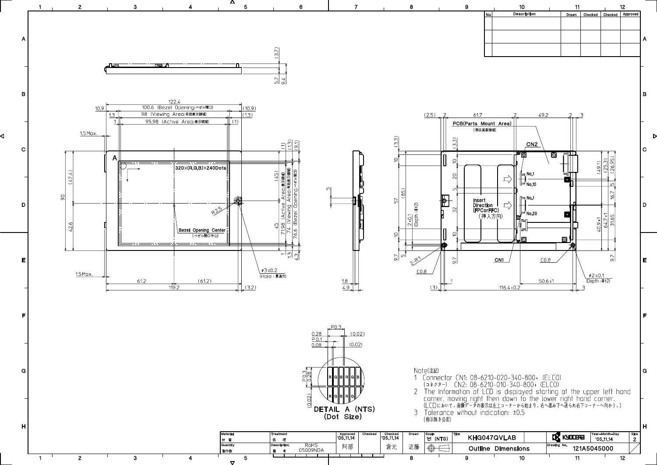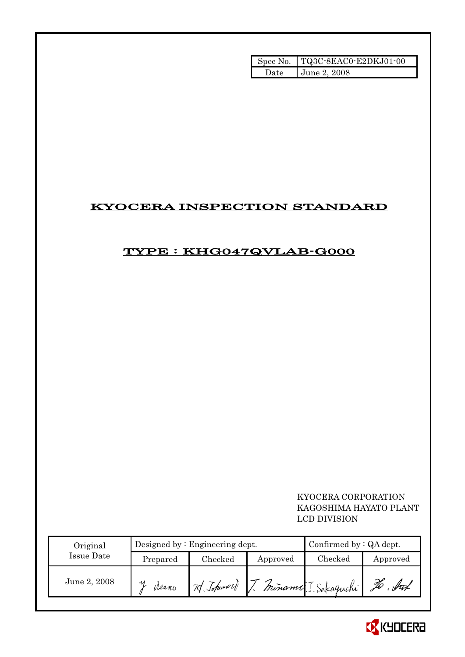|       | Spec No. TQ3C-8EAC0-E2DKJ01-00 |
|-------|--------------------------------|
| Date. | <b>June 2, 2008</b>            |

# KYOCERA INSPECTION STANDARD

## TYPE : KHG047QVLAB-G000

### KYOCERA CORPORATION KAGOSHIMA HAYATO PLANT LCD DIVISION

| Original     |          | Designed by: Engineering dept. | Confirmed by $:QA$ dept. |                                    |          |
|--------------|----------|--------------------------------|--------------------------|------------------------------------|----------|
| Issue Date   | Prepared | Checked                        | Approved                 | $\rm Checked$                      | Approved |
| June 2, 2008 | Meano    |                                |                          | 2) Johnsord J. Miname J. Sakaguchi | Źб       |

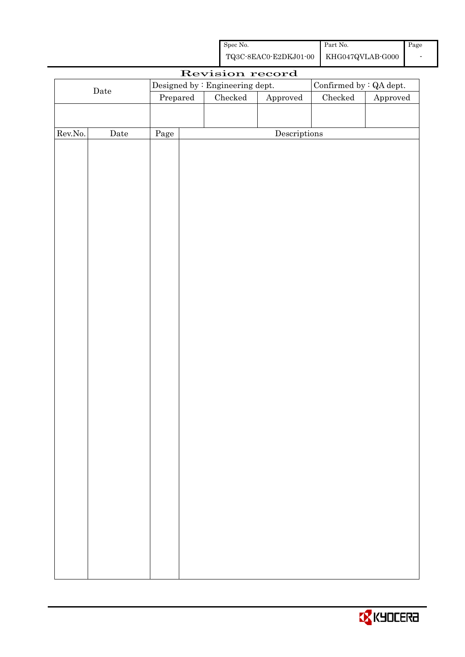| Spec No.                               | Part No. | Page |
|----------------------------------------|----------|------|
| TQ3C-8EAC0-E2DKJ01-00 KHG047QVLAB-G000 |          |      |

| Revision record      |                      |                                 |  |                         |                        |         |          |
|----------------------|----------------------|---------------------------------|--|-------------------------|------------------------|---------|----------|
| $\rm{\textbf{Date}}$ |                      | Designed by : Engineering dept. |  | Confirmed by : QA dept. |                        |         |          |
|                      |                      | Prepared                        |  | Checked                 | ${\Large\bf Approved}$ | Checked | Approved |
|                      |                      |                                 |  |                         |                        |         |          |
|                      |                      |                                 |  |                         |                        |         |          |
| Rev.No.              | $\rm{\textbf{Date}}$ | Page                            |  |                         | Descriptions           |         |          |
|                      |                      |                                 |  |                         |                        |         |          |
|                      |                      |                                 |  |                         |                        |         |          |
|                      |                      |                                 |  |                         |                        |         |          |
|                      |                      |                                 |  |                         |                        |         |          |
|                      |                      |                                 |  |                         |                        |         |          |
|                      |                      |                                 |  |                         |                        |         |          |
|                      |                      |                                 |  |                         |                        |         |          |
|                      |                      |                                 |  |                         |                        |         |          |
|                      |                      |                                 |  |                         |                        |         |          |
|                      |                      |                                 |  |                         |                        |         |          |
|                      |                      |                                 |  |                         |                        |         |          |
|                      |                      |                                 |  |                         |                        |         |          |
|                      |                      |                                 |  |                         |                        |         |          |
|                      |                      |                                 |  |                         |                        |         |          |
|                      |                      |                                 |  |                         |                        |         |          |
|                      |                      |                                 |  |                         |                        |         |          |
|                      |                      |                                 |  |                         |                        |         |          |
|                      |                      |                                 |  |                         |                        |         |          |
|                      |                      |                                 |  |                         |                        |         |          |
|                      |                      |                                 |  |                         |                        |         |          |
|                      |                      |                                 |  |                         |                        |         |          |
|                      |                      |                                 |  |                         |                        |         |          |
|                      |                      |                                 |  |                         |                        |         |          |
|                      |                      |                                 |  |                         |                        |         |          |
|                      |                      |                                 |  |                         |                        |         |          |
|                      |                      |                                 |  |                         |                        |         |          |
|                      |                      |                                 |  |                         |                        |         |          |
|                      |                      |                                 |  |                         |                        |         |          |
|                      |                      |                                 |  |                         |                        |         |          |
|                      |                      |                                 |  |                         |                        |         |          |
|                      |                      |                                 |  |                         |                        |         |          |
|                      |                      |                                 |  |                         |                        |         |          |
|                      |                      |                                 |  |                         |                        |         |          |
|                      |                      |                                 |  |                         |                        |         |          |
|                      |                      |                                 |  |                         |                        |         |          |

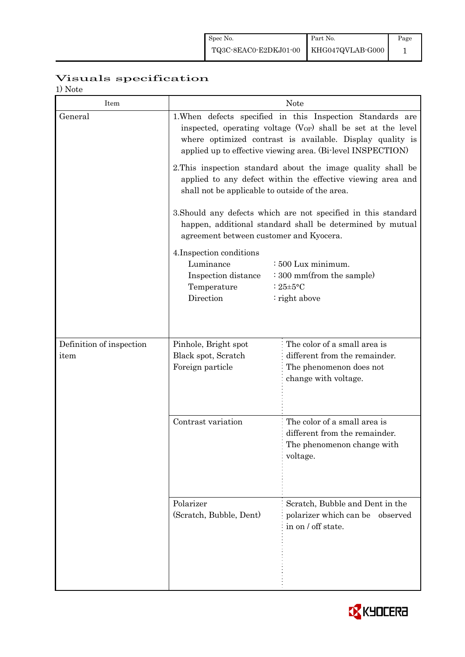# Visuals specification

| <b>Note</b> |  |
|-------------|--|
|-------------|--|

| Item                     | <b>Note</b>                                                                                                                                                                                                                                                 |                                                                                                         |  |  |  |
|--------------------------|-------------------------------------------------------------------------------------------------------------------------------------------------------------------------------------------------------------------------------------------------------------|---------------------------------------------------------------------------------------------------------|--|--|--|
| General                  | 1. When defects specified in this Inspection Standards are<br>inspected, operating voltage $(V_{OP})$ shall be set at the level<br>where optimized contrast is available. Display quality is<br>applied up to effective viewing area. (Bi-level INSPECTION) |                                                                                                         |  |  |  |
|                          | 2. This inspection standard about the image quality shall be<br>applied to any defect within the effective viewing area and<br>shall not be applicable to outside of the area.                                                                              |                                                                                                         |  |  |  |
|                          | 3. Should any defects which are not specified in this standard<br>happen, additional standard shall be determined by mutual<br>agreement between customer and Kyocera.                                                                                      |                                                                                                         |  |  |  |
|                          | 4. Inspection conditions<br>Luminance<br>: 500 Lux minimum.<br>: 300 mm(from the sample)<br>Inspection distance<br>Temperature<br>: $25 \pm 5$ °C<br>Direction<br>$:$ right above                                                                           |                                                                                                         |  |  |  |
| Definition of inspection | Pinhole, Bright spot                                                                                                                                                                                                                                        | The color of a small area is                                                                            |  |  |  |
| item                     | Black spot, Scratch<br>Foreign particle                                                                                                                                                                                                                     | different from the remainder.<br>The phenomenon does not<br>change with voltage.                        |  |  |  |
|                          | Contrast variation                                                                                                                                                                                                                                          | The color of a small area is<br>different from the remainder.<br>The phenomenon change with<br>voltage. |  |  |  |
|                          | Polarizer<br>(Scratch, Bubble, Dent)                                                                                                                                                                                                                        | Scratch, Bubble and Dent in the<br>polarizer which can be<br>observed<br>in on / off state.             |  |  |  |

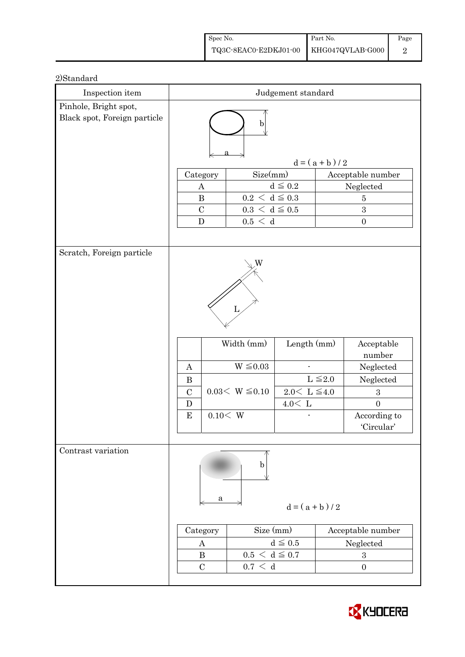| Spec No.                               | Part No. | Page |
|----------------------------------------|----------|------|
| TQ3C-8EAC0-E2DKJ01-00 KHG047QVLAB-G000 |          |      |

| Inspection item              | Judgement standard                               |                                                                         |                                                        |                 |                                                                                                                    |
|------------------------------|--------------------------------------------------|-------------------------------------------------------------------------|--------------------------------------------------------|-----------------|--------------------------------------------------------------------------------------------------------------------|
| Pinhole, Bright spot,        |                                                  |                                                                         |                                                        |                 |                                                                                                                    |
| Black spot, Foreign particle | b                                                |                                                                         |                                                        |                 |                                                                                                                    |
|                              |                                                  |                                                                         |                                                        | $d = (a + b)/2$ |                                                                                                                    |
|                              | Category                                         | Size(mm)                                                                |                                                        |                 | Acceptable number                                                                                                  |
|                              | A                                                |                                                                         | $d \leq 0.2$                                           |                 | Neglected                                                                                                          |
|                              | $\bf{B}$                                         | $0.2\,<\,\mathrm{d}\leq0.3$                                             |                                                        |                 | $\overline{5}$                                                                                                     |
|                              | $\mathcal{C}$                                    | $0.3\,<\,\mathrm{d}\leq0.5$                                             |                                                        |                 | 3                                                                                                                  |
|                              | $\mathbf D$                                      | 0.5 < d                                                                 |                                                        |                 | $\boldsymbol{0}$                                                                                                   |
|                              |                                                  |                                                                         |                                                        |                 |                                                                                                                    |
| Scratch, Foreign particle    | A<br>$\bf{B}$<br>$\mathcal{C}$<br>D<br>${\bf E}$ | W<br>L<br>Width (mm)<br>$W \leq 0.03$<br>$0.03< W \leq 0.10$<br>0.10< W | Length (mm)<br>$2.0\leq\,$ L $\leq\!4.0$<br>$4.0<\,$ L | $L \leq 2.0$    | Acceptable<br>number<br>Neglected<br>Neglected<br>$\boldsymbol{3}$<br>$\overline{0}$<br>According to<br>'Circular' |
| Contrast variation           | a<br>Category<br>A<br>$\bf{B}$<br>$\mathcal{C}$  | b<br>Size (mm)<br>$0.5 < d \leq 0.7$<br>0.7 < d                         | $d = (a + b)/2$<br>$d \leq 0.5$                        |                 | Acceptable number<br>Neglected<br>$\boldsymbol{3}$<br>$\boldsymbol{0}$                                             |